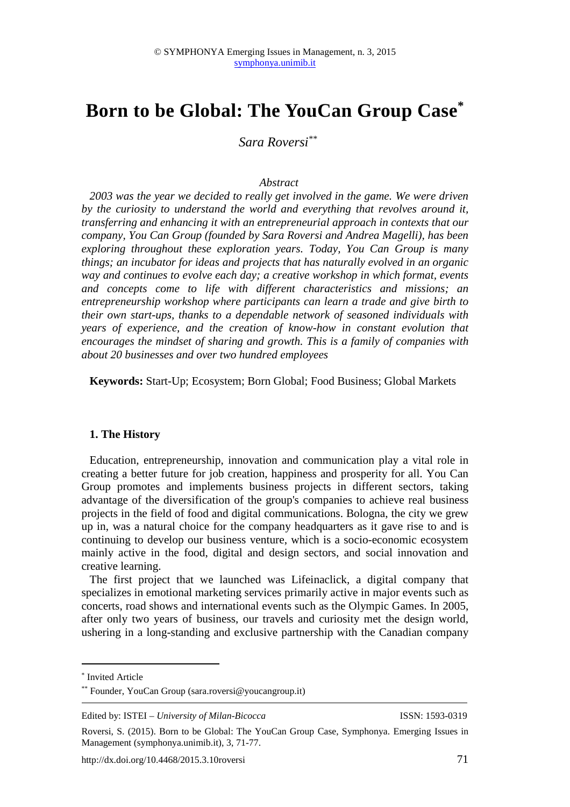# **Born to be Global: The YouCan Group Case\***

*Sara Roversi\*\**

## *Abstract*

*2003 was the year we decided to really get involved in the game. We were driven by the curiosity to understand the world and everything that revolves around it, transferring and enhancing it with an entrepreneurial approach in contexts that our company, You Can Group (founded by Sara Roversi and Andrea Magelli), has been exploring throughout these exploration years. Today, You Can Group is many things; an incubator for ideas and projects that has naturally evolved in an organic way and continues to evolve each day; a creative workshop in which format, events and concepts come to life with different characteristics and missions; an entrepreneurship workshop where participants can learn a trade and give birth to their own start-ups, thanks to a dependable network of seasoned individuals with years of experience, and the creation of know-how in constant evolution that encourages the mindset of sharing and growth. This is a family of companies with about 20 businesses and over two hundred employees* 

**Keywords:** Start-Up; Ecosystem; Born Global; Food Business; Global Markets

## **1. The History**

Education, entrepreneurship, innovation and communication play a vital role in creating a better future for job creation, happiness and prosperity for all. You Can Group promotes and implements business projects in different sectors, taking advantage of the diversification of the group's companies to achieve real business projects in the field of food and digital communications. Bologna, the city we grew up in, was a natural choice for the company headquarters as it gave rise to and is continuing to develop our business venture, which is a socio-economic ecosystem mainly active in the food, digital and design sectors, and social innovation and creative learning.

The first project that we launched was Lifeinaclick, a digital company that specializes in emotional marketing services primarily active in major events such as concerts, road shows and international events such as the Olympic Games. In 2005, after only two years of business, our travels and curiosity met the design world, ushering in a long-standing and exclusive partnership with the Canadian company

 $\overline{a}$ 

Edited by: ISTEI – *University of Milan-Bicocca* ISSN: 1593-0319

<sup>\*</sup> Invited Article

<sup>\*\*</sup> Founder, YouCan Group (sara.roversi@youcangroup.it)

Roversi, S. (2015). Born to be Global: The YouCan Group Case, Symphonya. Emerging Issues in Management (symphonya.unimib.it), 3, 71-77.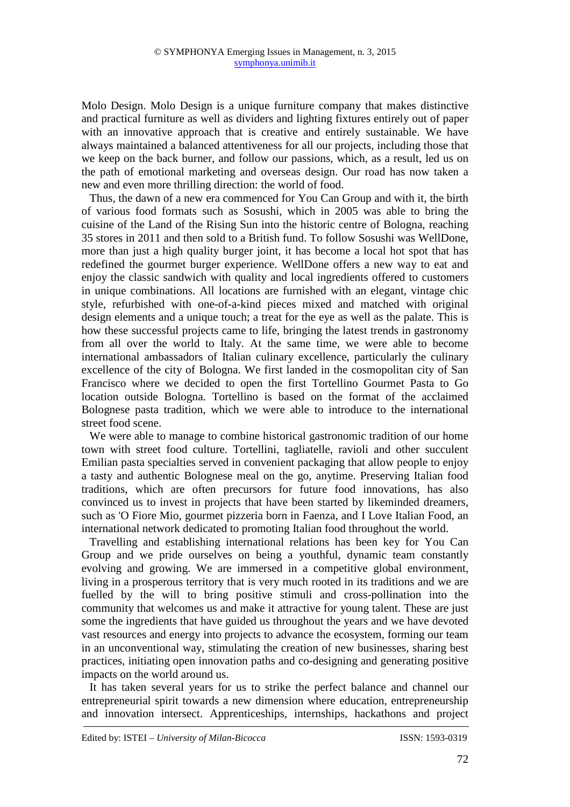Molo Design. Molo Design is a unique furniture company that makes distinctive and practical furniture as well as dividers and lighting fixtures entirely out of paper with an innovative approach that is creative and entirely sustainable. We have always maintained a balanced attentiveness for all our projects, including those that we keep on the back burner, and follow our passions, which, as a result, led us on the path of emotional marketing and overseas design. Our road has now taken a new and even more thrilling direction: the world of food.

Thus, the dawn of a new era commenced for You Can Group and with it, the birth of various food formats such as Sosushi, which in 2005 was able to bring the cuisine of the Land of the Rising Sun into the historic centre of Bologna, reaching 35 stores in 2011 and then sold to a British fund. To follow Sosushi was WellDone, more than just a high quality burger joint, it has become a local hot spot that has redefined the gourmet burger experience. WellDone offers a new way to eat and enjoy the classic sandwich with quality and local ingredients offered to customers in unique combinations. All locations are furnished with an elegant, vintage chic style, refurbished with one-of-a-kind pieces mixed and matched with original design elements and a unique touch; a treat for the eye as well as the palate. This is how these successful projects came to life, bringing the latest trends in gastronomy from all over the world to Italy. At the same time, we were able to become international ambassadors of Italian culinary excellence, particularly the culinary excellence of the city of Bologna. We first landed in the cosmopolitan city of San Francisco where we decided to open the first Tortellino Gourmet Pasta to Go location outside Bologna. Tortellino is based on the format of the acclaimed Bolognese pasta tradition, which we were able to introduce to the international street food scene.

We were able to manage to combine historical gastronomic tradition of our home town with street food culture. Tortellini, tagliatelle, ravioli and other succulent Emilian pasta specialties served in convenient packaging that allow people to enjoy a tasty and authentic Bolognese meal on the go, anytime. Preserving Italian food traditions, which are often precursors for future food innovations, has also convinced us to invest in projects that have been started by likeminded dreamers, such as 'O Fiore Mio, gourmet pizzeria born in Faenza, and I Love Italian Food, an international network dedicated to promoting Italian food throughout the world.

Travelling and establishing international relations has been key for You Can Group and we pride ourselves on being a youthful, dynamic team constantly evolving and growing. We are immersed in a competitive global environment, living in a prosperous territory that is very much rooted in its traditions and we are fuelled by the will to bring positive stimuli and cross-pollination into the community that welcomes us and make it attractive for young talent. These are just some the ingredients that have guided us throughout the years and we have devoted vast resources and energy into projects to advance the ecosystem, forming our team in an unconventional way, stimulating the creation of new businesses, sharing best practices, initiating open innovation paths and co-designing and generating positive impacts on the world around us.

It has taken several years for us to strike the perfect balance and channel our entrepreneurial spirit towards a new dimension where education, entrepreneurship and innovation intersect. Apprenticeships, internships, hackathons and project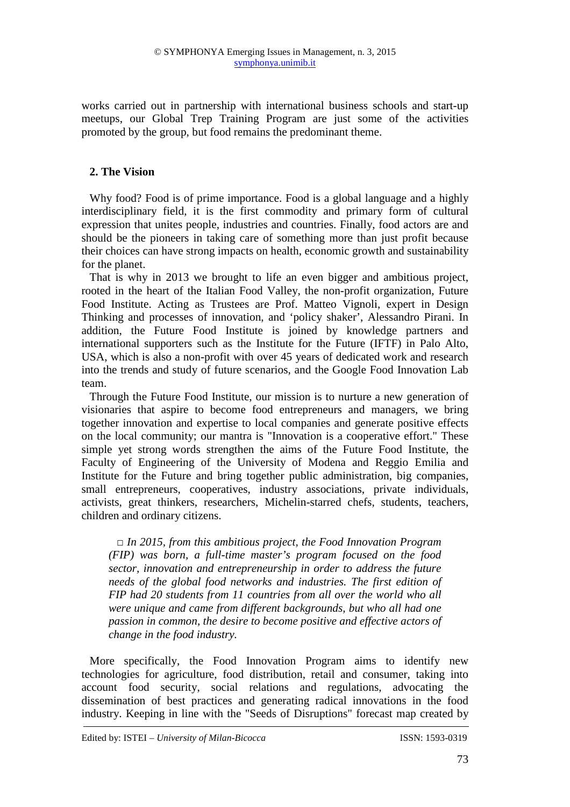works carried out in partnership with international business schools and start-up meetups, our Global Trep Training Program are just some of the activities promoted by the group, but food remains the predominant theme.

# **2. The Vision**

Why food? Food is of prime importance. Food is a global language and a highly interdisciplinary field, it is the first commodity and primary form of cultural expression that unites people, industries and countries. Finally, food actors are and should be the pioneers in taking care of something more than just profit because their choices can have strong impacts on health, economic growth and sustainability for the planet.

That is why in 2013 we brought to life an even bigger and ambitious project, rooted in the heart of the Italian Food Valley, the non-profit organization, Future Food Institute. Acting as Trustees are Prof. Matteo Vignoli, expert in Design Thinking and processes of innovation, and 'policy shaker', Alessandro Pirani. In addition, the Future Food Institute is joined by knowledge partners and international supporters such as the Institute for the Future (IFTF) in Palo Alto, USA, which is also a non-profit with over 45 years of dedicated work and research into the trends and study of future scenarios, and the Google Food Innovation Lab team.

Through the Future Food Institute, our mission is to nurture a new generation of visionaries that aspire to become food entrepreneurs and managers, we bring together innovation and expertise to local companies and generate positive effects on the local community; our mantra is "Innovation is a cooperative effort." These simple yet strong words strengthen the aims of the Future Food Institute, the Faculty of Engineering of the University of Modena and Reggio Emilia and Institute for the Future and bring together public administration, big companies, small entrepreneurs, cooperatives, industry associations, private individuals, activists, great thinkers, researchers, Michelin-starred chefs, students, teachers, children and ordinary citizens.

*□ In 2015, from this ambitious project, the Food Innovation Program (FIP) was born, a full-time master's program focused on the food sector, innovation and entrepreneurship in order to address the future needs of the global food networks and industries. The first edition of FIP had 20 students from 11 countries from all over the world who all were unique and came from different backgrounds, but who all had one passion in common, the desire to become positive and effective actors of change in the food industry.* 

More specifically, the Food Innovation Program aims to identify new technologies for agriculture, food distribution, retail and consumer, taking into account food security, social relations and regulations, advocating the dissemination of best practices and generating radical innovations in the food industry. Keeping in line with the "Seeds of Disruptions" forecast map created by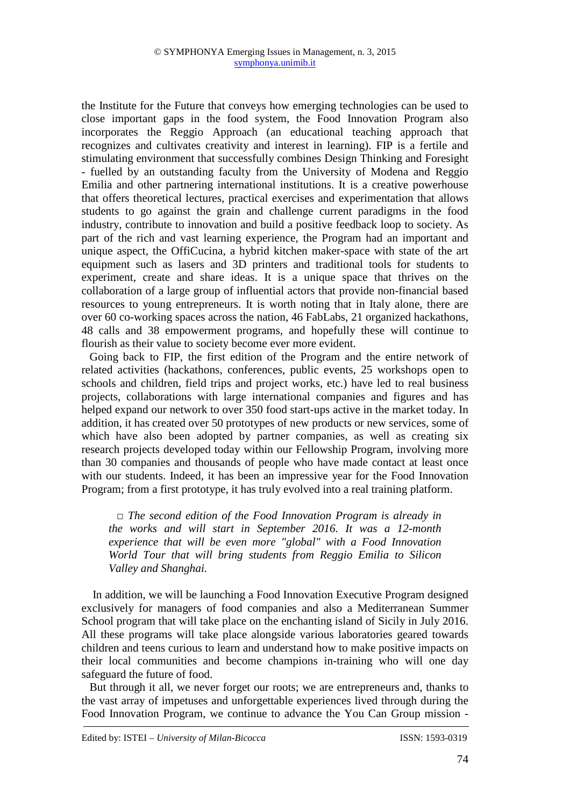the Institute for the Future that conveys how emerging technologies can be used to close important gaps in the food system, the Food Innovation Program also incorporates the Reggio Approach (an educational teaching approach that recognizes and cultivates creativity and interest in learning). FIP is a fertile and stimulating environment that successfully combines Design Thinking and Foresight - fuelled by an outstanding faculty from the University of Modena and Reggio Emilia and other partnering international institutions. It is a creative powerhouse that offers theoretical lectures, practical exercises and experimentation that allows students to go against the grain and challenge current paradigms in the food industry, contribute to innovation and build a positive feedback loop to society. As part of the rich and vast learning experience, the Program had an important and unique aspect, the OffiCucina, a hybrid kitchen maker-space with state of the art equipment such as lasers and 3D printers and traditional tools for students to experiment, create and share ideas. It is a unique space that thrives on the collaboration of a large group of influential actors that provide non-financial based resources to young entrepreneurs. It is worth noting that in Italy alone, there are over 60 co-working spaces across the nation, 46 FabLabs, 21 organized hackathons, 48 calls and 38 empowerment programs, and hopefully these will continue to flourish as their value to society become ever more evident.

Going back to FIP, the first edition of the Program and the entire network of related activities (hackathons, conferences, public events, 25 workshops open to schools and children, field trips and project works, etc.) have led to real business projects, collaborations with large international companies and figures and has helped expand our network to over 350 food start-ups active in the market today. In addition, it has created over 50 prototypes of new products or new services, some of which have also been adopted by partner companies, as well as creating six research projects developed today within our Fellowship Program, involving more than 30 companies and thousands of people who have made contact at least once with our students. Indeed, it has been an impressive year for the Food Innovation Program; from a first prototype, it has truly evolved into a real training platform.

*□ The second edition of the Food Innovation Program is already in the works and will start in September 2016. It was a 12-month experience that will be even more "global" with a Food Innovation World Tour that will bring students from Reggio Emilia to Silicon Valley and Shanghai.* 

 In addition, we will be launching a Food Innovation Executive Program designed exclusively for managers of food companies and also a Mediterranean Summer School program that will take place on the enchanting island of Sicily in July 2016. All these programs will take place alongside various laboratories geared towards children and teens curious to learn and understand how to make positive impacts on their local communities and become champions in-training who will one day safeguard the future of food.

But through it all, we never forget our roots; we are entrepreneurs and, thanks to the vast array of impetuses and unforgettable experiences lived through during the Food Innovation Program, we continue to advance the You Can Group mission -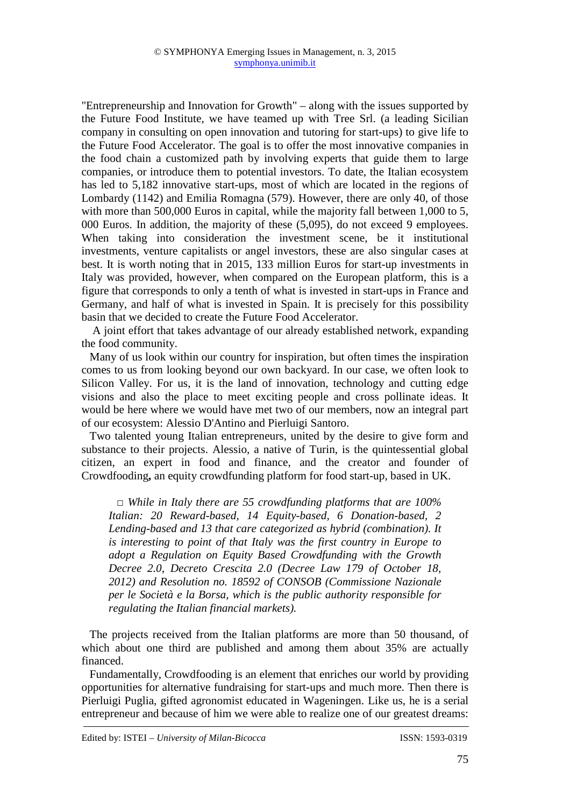"Entrepreneurship and Innovation for Growth" – along with the issues supported by the Future Food Institute, we have teamed up with Tree Srl. (a leading Sicilian company in consulting on open innovation and tutoring for start-ups) to give life to the Future Food Accelerator. The goal is to offer the most innovative companies in the food chain a customized path by involving experts that guide them to large companies, or introduce them to potential investors. To date, the Italian ecosystem has led to 5,182 innovative start-ups, most of which are located in the regions of Lombardy (1142) and Emilia Romagna (579). However, there are only 40, of those with more than 500,000 Euros in capital, while the majority fall between 1,000 to 5, 000 Euros. In addition, the majority of these (5,095), do not exceed 9 employees. When taking into consideration the investment scene, be it institutional investments, venture capitalists or angel investors, these are also singular cases at best. It is worth noting that in 2015, 133 million Euros for start-up investments in Italy was provided, however, when compared on the European platform, this is a figure that corresponds to only a tenth of what is invested in start-ups in France and Germany, and half of what is invested in Spain. It is precisely for this possibility basin that we decided to create the Future Food Accelerator.

 A joint effort that takes advantage of our already established network, expanding the food community.

Many of us look within our country for inspiration, but often times the inspiration comes to us from looking beyond our own backyard. In our case, we often look to Silicon Valley. For us, it is the land of innovation, technology and cutting edge visions and also the place to meet exciting people and cross pollinate ideas. It would be here where we would have met two of our members, now an integral part of our ecosystem: Alessio D'Antino and Pierluigi Santoro.

Two talented young Italian entrepreneurs, united by the desire to give form and substance to their projects. Alessio, a native of Turin, is the quintessential global citizen, an expert in food and finance, and the creator and founder of Crowdfooding**,** an equity crowdfunding platform for food start-up, based in UK.

*□ While in Italy there are 55 crowdfunding platforms that are 100% Italian: 20 Reward-based, 14 Equity-based, 6 Donation-based, 2 Lending-based and 13 that care categorized as hybrid (combination). It is interesting to point of that Italy was the first country in Europe to adopt a Regulation on Equity Based Crowdfunding with the Growth Decree 2.0, Decreto Crescita 2.0 (Decree Law 179 of October 18, 2012) and Resolution no. 18592 of CONSOB (Commissione Nazionale per le Società e la Borsa, which is the public authority responsible for regulating the Italian financial markets).* 

The projects received from the Italian platforms are more than 50 thousand, of which about one third are published and among them about 35% are actually financed.

Fundamentally, Crowdfooding is an element that enriches our world by providing opportunities for alternative fundraising for start-ups and much more. Then there is Pierluigi Puglia, gifted agronomist educated in Wageningen. Like us, he is a serial entrepreneur and because of him we were able to realize one of our greatest dreams: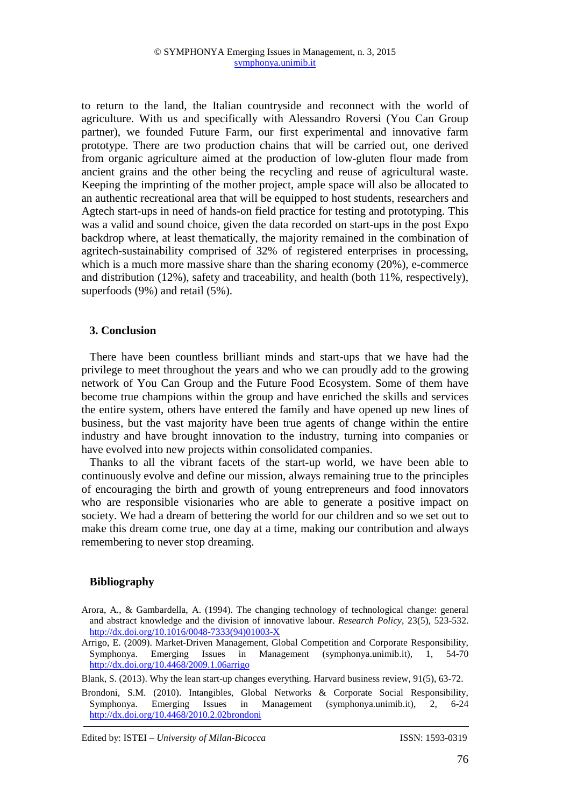to return to the land, the Italian countryside and reconnect with the world of agriculture. With us and specifically with Alessandro Roversi (You Can Group partner), we founded Future Farm, our first experimental and innovative farm prototype. There are two production chains that will be carried out, one derived from organic agriculture aimed at the production of low-gluten flour made from ancient grains and the other being the recycling and reuse of agricultural waste. Keeping the imprinting of the mother project, ample space will also be allocated to an authentic recreational area that will be equipped to host students, researchers and Agtech start-ups in need of hands-on field practice for testing and prototyping. This was a valid and sound choice, given the data recorded on start-ups in the post Expo backdrop where, at least thematically, the majority remained in the combination of agritech-sustainability comprised of 32% of registered enterprises in processing, which is a much more massive share than the sharing economy (20%), e-commerce and distribution (12%), safety and traceability, and health (both 11%, respectively), superfoods (9%) and retail (5%).

### **3. Conclusion**

There have been countless brilliant minds and start-ups that we have had the privilege to meet throughout the years and who we can proudly add to the growing network of You Can Group and the Future Food Ecosystem. Some of them have become true champions within the group and have enriched the skills and services the entire system, others have entered the family and have opened up new lines of business, but the vast majority have been true agents of change within the entire industry and have brought innovation to the industry, turning into companies or have evolved into new projects within consolidated companies.

Thanks to all the vibrant facets of the start-up world, we have been able to continuously evolve and define our mission, always remaining true to the principles of encouraging the birth and growth of young entrepreneurs and food innovators who are responsible visionaries who are able to generate a positive impact on society. We had a dream of bettering the world for our children and so we set out to make this dream come true, one day at a time, making our contribution and always remembering to never stop dreaming.

#### **Bibliography**

- Arora, A., & Gambardella, A. (1994). The changing technology of technological change: general and abstract knowledge and the division of innovative labour. *Research Policy*, 23(5), 523-532. http://dx.doi.org/10.1016/0048-7333(94)01003-X
- Arrigo, E. (2009). Market-Driven Management, Global Competition and Corporate Responsibility, Symphonya. Emerging Issues in Management (symphonya.unimib.it), 1, 54-70 http://dx.doi.org/10.4468/2009.1.06arrigo
- Blank, S. (2013). Why the lean start-up changes everything. Harvard business review, 91(5), 63-72.
- Brondoni, S.M. (2010). Intangibles, Global Networks & Corporate Social Responsibility, Symphonya. Emerging Issues in Management (symphonya.unimib.it), 2, 6-24 http://dx.doi.org/10.4468/2010.2.02brondoni

Edited by: ISTEI – *University of Milan-Bicocca* ISSN: 1593-0319